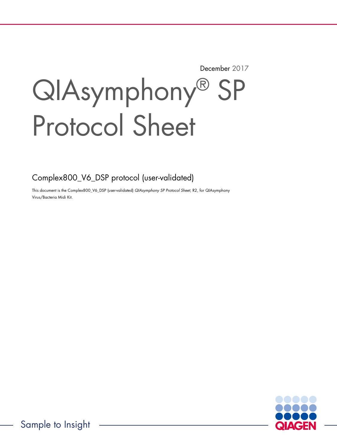December 2017

# QIAsymphony® SP Protocol Sheet

Complex800\_V6\_DSP protocol (user-validated)

This document is the Complex800\_V6\_DSP (user-validated) QIAsymphony SP Protocol Sheet, R2, for QIAsymphony Virus/Bacteria Midi Kit.

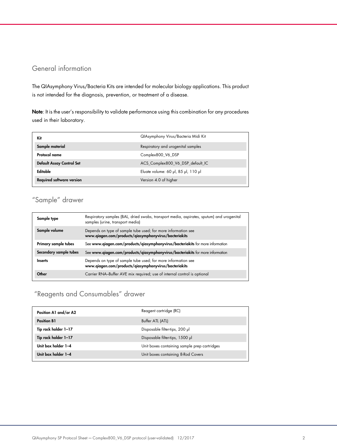## General information

The QIAsymphony Virus/Bacteria Kits are intended for molecular biology applications. This product is not intended for the diagnosis, prevention, or treatment of a disease.

Note: It is the user's responsibility to validate performance using this combination for any procedures used in their laboratory.

| Kit                              | QIAsymphony Virus/Bacteria Midi Kit |
|----------------------------------|-------------------------------------|
| Sample material                  | Respiratory and urogenital samples  |
| Protocol name                    | Complex800 V6 DSP                   |
| <b>Default Assay Control Set</b> | ACS_Complex800_V6_DSP_default_IC    |
| Editable                         | Eluate volume: 60 µl, 85 µl, 110 µl |
| <b>Required software version</b> | Version 4.0 of higher               |

# "Sample" drawer

| Sample type            | Respiratory samples (BAL, dried swabs, transport media, aspirates, sputum) and urogenital<br>samples (urine, transport media) |
|------------------------|-------------------------------------------------------------------------------------------------------------------------------|
| Sample volume          | Depends on type of sample tube used; for more information see<br>www.qiagen.com/products/qiasymphonyvirus/bacteriakits        |
| Primary sample tubes   | See www.qiagen.com/products/qiasymphonyvirus/bacteriakits for more information                                                |
| Secondary sample tubes | See www.qiagen.com/products/qiasymphonyvirus/bacteriakits for more information                                                |
| <b>Inserts</b>         | Depends on type of sample tube used; for more information see<br>www.qiagen.com/products/qiasymphonyvirus/bacteriakits        |
| Other                  | Carrier RNA-Buffer AVE mix required; use of internal control is optional                                                      |

# "Reagents and Consumables" drawer

| Position A1 and/or A2 | Reagent cartridge (RC)                       |
|-----------------------|----------------------------------------------|
| <b>Position B1</b>    | Buffer ATL (ATL)                             |
| Tip rack holder 1-17  | Disposable filter-tips, 200 µl               |
| Tip rack holder 1-17  | Disposable filter-tips, 1500 µl              |
| Unit box holder 1-4   | Unit boxes containing sample prep cartridges |
| Unit box holder 1-4   | Unit boxes containing 8-Rod Covers           |
|                       |                                              |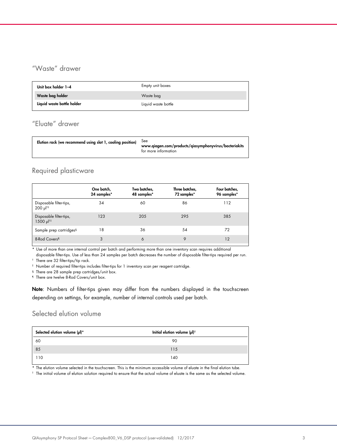# "Waste" drawer

| Unit box holder 1-4        | Empty unit boxes    |
|----------------------------|---------------------|
| Waste bag holder           | Waste bag           |
| Liquid waste bottle holder | Liquid waste bottle |

# "Eluate" drawer

| <b>See</b><br>Elution rack (we recommend using slot 1, cooling position)<br>www.qiagen.com/products/qiasymphonyvirus/bacteriakits<br>for more information |  |
|-----------------------------------------------------------------------------------------------------------------------------------------------------------|--|
|-----------------------------------------------------------------------------------------------------------------------------------------------------------|--|

## Required plasticware

|                                                                | One batch,<br>24 samples* | Two batches,<br>48 samples* | Three batches,<br>72 samples* | Four batches,<br>96 samples* |
|----------------------------------------------------------------|---------------------------|-----------------------------|-------------------------------|------------------------------|
| Disposable filter-tips,<br>$200 \text{ pl}^{\dagger \ddagger}$ | 34                        | 60                          | 86                            | 112                          |
| Disposable filter-tips,<br>1500 µl <sup>t‡</sup>               | 123                       | 205                         | 295                           | 385                          |
| Sample prep cartridges§                                        | 18                        | 36                          | 54                            | 72                           |
| 8-Rod Covers <sup>1</sup>                                      | 3                         | 6                           | 9                             | 12                           |

\* Use of more than one internal control per batch and performing more than one inventory scan requires additional

disposable filter-tips. Use of less than 24 samples per batch decreases the number of disposable filter-tips required per run. † There are 32 filter-tips/tip rack.

‡ Number of required filter-tips includes filter-tips for 1 inventory scan per reagent cartridge.

§ There are 28 sample prep cartridges/unit box.

¶ There are twelve 8-Rod Covers/unit box.

Note: Numbers of filter-tips given may differ from the numbers displayed in the touchscreen depending on settings, for example, number of internal controls used per batch.

## Selected elution volume

| Selected elution volume (µl)* | Initial elution volume $(\mu I)^{\dagger}$ |
|-------------------------------|--------------------------------------------|
| 60                            | 90                                         |
| 85                            | 115                                        |
| 110                           | 140                                        |

\* The elution volume selected in the touchscreen. This is the minimum accessible volume of eluate in the final elution tube.

† The initial volume of elution solution required to ensure that the actual volume of eluate is the same as the selected volume.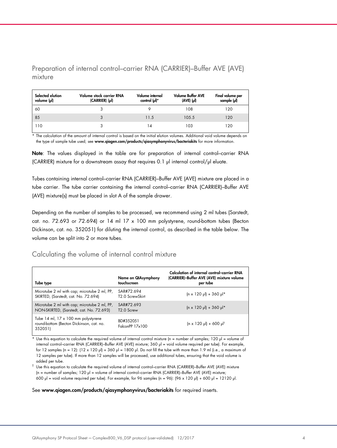Preparation of internal control–carrier RNA (CARRIER)–Buffer AVE (AVE) mixture

| Selected elution<br>volume (µl) | Volume stock carrier RNA<br>$(CARRIER)$ ( $\mu$ I) | Volume internal<br>control (µl)* | <b>Volume Buffer AVE</b><br>$(AVE)$ $(µ)$ | Final volume per<br>sample (µl) |
|---------------------------------|----------------------------------------------------|----------------------------------|-------------------------------------------|---------------------------------|
| 60                              |                                                    |                                  | 108                                       | 120                             |
| 85                              |                                                    | 11.5                             | 105.5                                     | 120                             |
| 110                             |                                                    | 14                               | 103                                       | 120                             |

\* The calculation of the amount of internal control is based on the initial elution volumes. Additional void volume depends on the type of sample tube used; see www.qiagen.com/products/qiasymphonyvirus/bacteriakits for more information.

Note: The values displayed in the table are for preparation of internal control-carrier RNA (CARRIER) mixture for a downstream assay that requires 0.1 µl internal control/µl eluate.

Tubes containing internal control–carrier RNA (CARRIER)–Buffer AVE (AVE) mixture are placed in a tube carrier. The tube carrier containing the internal control–carrier RNA (CARRIER)–Buffer AVE (AVE) mixture(s) must be placed in slot A of the sample drawer.

Depending on the number of samples to be processed, we recommend using 2 ml tubes (Sarstedt, cat. no. 72.693 or 72.694) or 14 ml 17 x 100 mm polystyrene, round-bottom tubes (Becton Dickinson, cat. no. 352051) for diluting the internal control, as described in the table below. The volume can be split into 2 or more tubes.

## Calculating the volume of internal control mixture

| Tube type                                                                                  | Name on QIAsymphony<br>touchscreen   | Calculation of internal control-carrier RNA<br>(CARRIER)-Buffer AVE (AVE) mixture volume<br>per tube |
|--------------------------------------------------------------------------------------------|--------------------------------------|------------------------------------------------------------------------------------------------------|
| Microtube 2 ml with cap; microtube 2 ml, PP,<br>SKIRTED, (Sarstedt, cat. No. 72.694)       | SAR#72.694<br>T2.0 ScrewSkirt        | $(n \times 120 \text{ pl}) + 360 \text{ pl}$ *                                                       |
| Microtube 2 ml with cap; microtube 2 ml, PP,<br>NON-SKIRTED, (Sarstedt, cat. No. 72.693)   | SAR#72 693<br>T <sub>2.0</sub> Screw | $(n \times 120 \text{ pl}) + 360 \text{ pl}$ *                                                       |
| Tube 14 ml, 17 x 100 mm polystyrene<br>round-bottom (Becton Dickinson, cat. no.<br>352051) | BD#352051<br>FalconPP 17x100         | $(n \times 120 \text{ pl}) + 600 \text{ pl}$                                                         |

Use this equation to calculate the required volume of internal control mixture (n = number of samples; 120  $\mu$  = volume of internal control–carrier RNA (CARRIER)–Buffer AVE (AVE) mixture; 360 µl = void volume required per tube). For example, for 12 samples (n = 12):  $(12 \times 120 \text{ µ}) + 360 \text{ µ}$  = 1800  $\text{µ}$ . Do not fill the tube with more than 1.9 ml (i.e., a maximum of 12 samples per tube). If more than 12 samples will be processed, use additional tubes, ensuring that the void volume is added per tube.

 $^\dagger$  Use this equation to calculate the required volume of internal control–carrier RNA (CARRIER)–Buffer AVE (AVE) mixture (n = number of samples; 120 µl = volume of internal control–carrier RNA (CARRIER)–Buffer AVE (AVE) mixture; 600 µl = void volume required per tube). For example, for 96 samples (n = 96): (96 x 120 µl) + 600 µl = 12120 µl.

#### See www.qiagen.com/products/qiasymphonyvirus/bacteriakits for required inserts.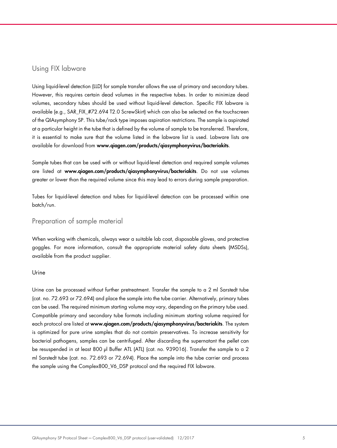## Using FIX labware

Using liquid-level detection (LLD) for sample transfer allows the use of primary and secondary tubes. However, this requires certain dead volumes in the respective tubes. In order to minimize dead volumes, secondary tubes should be used without liquid-level detection. Specific FIX labware is available (e.g., SAR\_FIX\_#72.694 T2.0 ScrewSkirt) which can also be selected on the touchscreen of the QIAsymphony SP. This tube/rack type imposes aspiration restrictions. The sample is aspirated at a particular height in the tube that is defined by the volume of sample to be transferred. Therefore, it is essential to make sure that the volume listed in the labware list is used. Labware lists are available for download from www.qiagen.com/products/qiasymphonyvirus/bacteriakits.

Sample tubes that can be used with or without liquid-level detection and required sample volumes are listed at www.qiagen.com/products/qiasymphonyvirus/bacteriakits. Do not use volumes greater or lower than the required volume since this may lead to errors during sample preparation.

Tubes for liquid-level detection and tubes for liquid-level detection can be processed within one batch/run.

## Preparation of sample material

When working with chemicals, always wear a suitable lab coat, disposable gloves, and protective goggles. For more information, consult the appropriate material safety data sheets (MSDSs), available from the product supplier.

#### Urine

Urine can be processed without further pretreatment. Transfer the sample to a 2 ml Sarstedt tube (cat. no. 72.693 or 72.694) and place the sample into the tube carrier. Alternatively, primary tubes can be used. The required minimum starting volume may vary, depending on the primary tube used. Compatible primary and secondary tube formats including minimum starting volume required for each protocol are listed at www.qiagen.com/products/qiasymphonyvirus/bacteriakits. The system is optimized for pure urine samples that do not contain preservatives. To increase sensitivity for bacterial pathogens, samples can be centrifuged. After discarding the supernatant the pellet can be resuspended in at least 800 µl Buffer ATL (ATL) (cat. no. 939016). Transfer the sample to a 2 ml Sarstedt tube (cat. no. 72.693 or 72.694). Place the sample into the tube carrier and process the sample using the Complex800\_V6\_DSP protocol and the required FIX labware.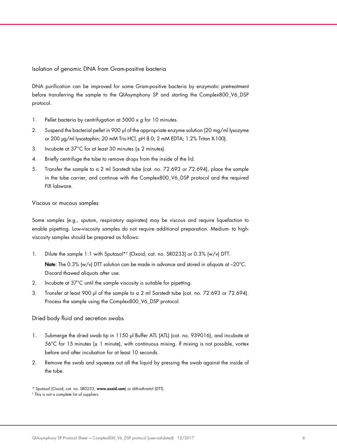Isolation of genomic DNA from Gram-positive bacteria

DNA purification can be improved for some Gram-positive bacteria by enzymatic pretreatment before transferring the sample to the QIAsymphony SP and starting the Complex800\_V6\_DSP protocol.

- 1. Pellet bacteria by centrifugation at  $5000 \times g$  for 10 minutes.
- 2. Suspend the bacterial pellet in 900 µl of the appropriate enzyme solution (20 mg/ml lysozyme or 200 µg/ml lysostaphin; 20 mM Tris·HCl, pH 8.0; 2 mM EDTA; 1.2% Triton X-100).
- 3. Incubate at 37°C for at least 30 minutes (± 2 minutes).
- 4. Briefly centrifuge the tube to remove drops from the inside of the lid.
- 5. Transfer the sample to a 2 ml Sarstedt tube (cat. no. 72.693 or 72.694), place the sample in the tube carrier, and continue with the Complex800\_V6\_DSP protocol and the required FIX labware.

#### Viscous or mucous samples

Some samples (e.g., sputum, respiratory aspirates) may be viscous and require liquefaction to enable pipetting. Low-viscosity samples do not require additional preparation. Medium- to highviscosity samples should be prepared as follows:

- 1. Dilute the sample 1:1 with Sputasol\*† (Oxoid, cat. no. SR0233) or 0.3% (w/v) DTT. Note: The 0.3% (w/v) DTT solution can be made in advance and stored in aliquots at -20°C. Discard thawed aliquots after use.
- 2. Incubate at 37°C until the sample viscosity is suitable for pipetting.
- 3. Transfer at least 900 µl of the sample to a 2 ml Sarstedt tube (cat. no. 72.693 or 72.694). Process the sample using the Complex800\_V6\_DSP protocol.

#### Dried body fluid and secretion swabs

- 1. Submerge the dried swab tip in 1150 µl Buffer ATL (ATL) (cat. no. 939016), and incubate at  $56^{\circ}$ C for 15 minutes ( $\pm$  1 minute), with continuous mixing. If mixing is not possible, vortex before and after incubation for at least 10 seconds.
- 2. Remove the swab and squeeze out all the liquid by pressing the swab against the inside of the tube.

<sup>\*</sup> Sputasol (Oxoid, cat. no. SR0233, www.oxoid.com) or dithiothreitol (DTT).

<sup>†</sup> This is not a complete list of suppliers.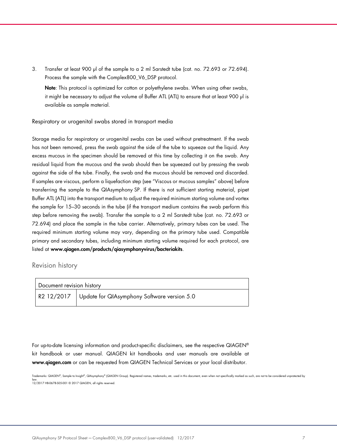3. Transfer at least 900 µl of the sample to a 2 ml Sarstedt tube (cat. no. 72.693 or 72.694). Process the sample with the Complex800\_V6\_DSP protocol.

Note: This protocol is optimized for cotton or polyethylene swabs. When using other swabs, it might be necessary to adjust the volume of Buffer ATL (ATL) to ensure that at least 900 µl is available as sample material.

#### Respiratory or urogenital swabs stored in transport media

Storage media for respiratory or urogenital swabs can be used without pretreatment. If the swab has not been removed, press the swab against the side of the tube to squeeze out the liquid. Any excess mucous in the specimen should be removed at this time by collecting it on the swab. Any residual liquid from the mucous and the swab should then be squeezed out by pressing the swab against the side of the tube. Finally, the swab and the mucous should be removed and discarded. If samples are viscous, perform a liquefaction step (see "Viscous or mucous samples" above) before transferring the sample to the QIAsymphony SP. If there is not sufficient starting material, pipet Buffer ATL (ATL) into the transport medium to adjust the required minimum starting volume and vortex the sample for 15–30 seconds in the tube (if the transport medium contains the swab perform this step before removing the swab). Transfer the sample to a 2 ml Sarstedt tube (cat. no. 72.693 or 72.694) and place the sample in the tube carrier. Alternatively, primary tubes can be used. The required minimum starting volume may vary, depending on the primary tube used. Compatible primary and secondary tubes, including minimum starting volume required for each protocol, are listed at www.qiagen.com/products/qiasymphonyvirus/bacteriakits.

### Revision history

| Document revision history |                                                                    |
|---------------------------|--------------------------------------------------------------------|
|                           | , R2 12/2017 $\,$ Update for QIAsymphony Software version 5.0 $\,$ |

For up-to-date licensing information and product-specific disclaimers, see the respective QIAGEN® kit handbook or user manual. QIAGEN kit handbooks and user manuals are available at www.qiagen.com or can be requested from QIAGEN Technical Services or your local distributor.

Trademarks: QIAGEN®, Sample to Insight®, QIAsymphony® (QIAGEN Group). Registered names, trademarks, etc. used in this document, even when not specifically marked as such, are not to be considered unprotected by law. 12/2017 HB-0678-S05-001 © 2017 QIAGEN, all rights reserved.